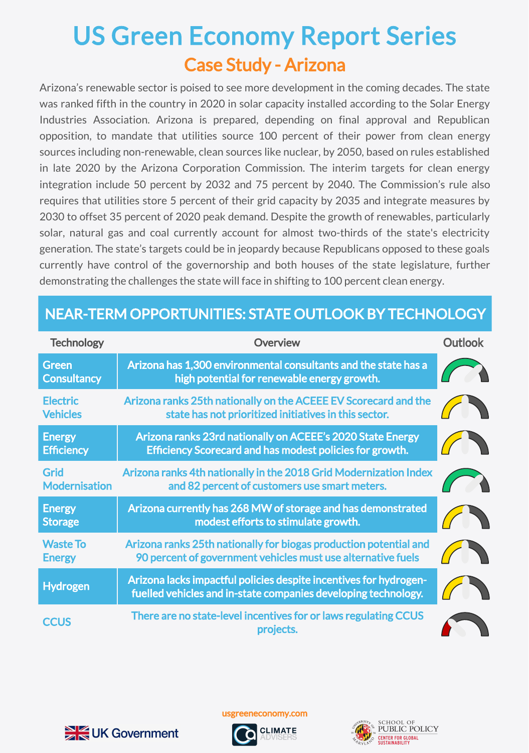## Case Study - Arizona US Green Economy Report Series

Arizona's renewable sector is poised to see more development in the coming decades. The state was ranked fifth in the country in 2020 in solar capacity installed according to the Solar Energy Industries Association. Arizona is prepared, depending on final approval and Republican opposition, to mandate that utilities source 100 percent of their power from clean energy sources including non-renewable, clean sources like nuclear, by 2050, based on rules established in late 2020 by the Arizona Corporation Commission. The interim targets for clean energy integration include 50 percent by 2032 and 75 percent by 2040. The Commission's rule also requires that utilities store 5 percent of their grid capacity by 2035 and integrate measures by 2030 to offset 35 percent of 2020 peak demand. Despite the growth of renewables, particularly solar, natural gas and coal currently account for almost two-thirds of the state's electricity generation. The state's targets could be in jeopardy because Republicans opposed to these goals currently have control of the governorship and both houses of the state legislature, further demonstrating the challenges the state will face in shifting to 100 percent clean energy.

## NEAR-TERM OPPORTUNITIES: STATE OUTLOOK BY TECHNOLOGY

| <b>Technology</b>                   | <b>Overview</b>                                                                                                                     | <b>Outlook</b> |
|-------------------------------------|-------------------------------------------------------------------------------------------------------------------------------------|----------------|
| <b>Green</b><br><b>Consultancy</b>  | Arizona has 1,300 environmental consultants and the state has a<br>high potential for renewable energy growth.                      |                |
| <b>Electric</b><br><b>Vehicles</b>  | Arizona ranks 25th nationally on the ACEEE EV Scorecard and the<br>state has not prioritized initiatives in this sector.            |                |
| <b>Energy</b><br><b>Efficiency</b>  | Arizona ranks 23rd nationally on ACEEE's 2020 State Energy<br>Efficiency Scorecard and has modest policies for growth.              |                |
| <b>Grid</b><br><b>Modernisation</b> | Arizona ranks 4th nationally in the 2018 Grid Modernization Index<br>and 82 percent of customers use smart meters.                  |                |
| <b>Energy</b><br><b>Storage</b>     | Arizona currently has 268 MW of storage and has demonstrated<br>modest efforts to stimulate growth.                                 |                |
| <b>Waste To</b><br><b>Energy</b>    | Arizona ranks 25th nationally for biogas production potential and<br>90 percent of government vehicles must use alternative fuels   |                |
| <b>Hydrogen</b>                     | Arizona lacks impactful policies despite incentives for hydrogen-<br>fuelled vehicles and in-state companies developing technology. |                |
| <b>CCUS</b>                         | There are no state-level incentives for or laws regulating CCUS<br>projects.                                                        |                |



usgreeneconomy.com